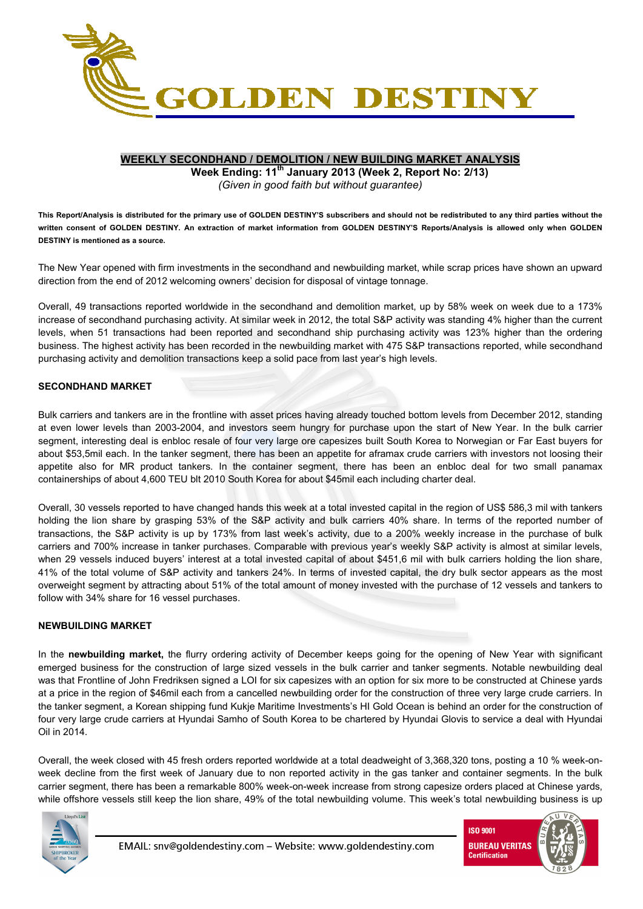

# **WEEKLY SECONDHAND / DEMOLITION / NEW BUILDING MARKET ANALYSIS**

**Week Ending: 11th January 2013 (Week 2, Report No: 2/13)** 

*(Given in good faith but without guarantee)* 

**This Report/Analysis is distributed for the primary use of GOLDEN DESTINY'S subscribers and should not be redistributed to any third parties without the written consent of GOLDEN DESTINY. An extraction of market information from GOLDEN DESTINY'S Reports/Analysis is allowed only when GOLDEN DESTINY is mentioned as a source.** 

The New Year opened with firm investments in the secondhand and newbuilding market, while scrap prices have shown an upward direction from the end of 2012 welcoming owners' decision for disposal of vintage tonnage.

Overall, 49 transactions reported worldwide in the secondhand and demolition market, up by 58% week on week due to a 173% increase of secondhand purchasing activity. At similar week in 2012, the total S&P activity was standing 4% higher than the current levels, when 51 transactions had been reported and secondhand ship purchasing activity was 123% higher than the ordering business. The highest activity has been recorded in the newbuilding market with 475 S&P transactions reported, while secondhand purchasing activity and demolition transactions keep a solid pace from last year's high levels.

## **SECONDHAND MARKET**

Bulk carriers and tankers are in the frontline with asset prices having already touched bottom levels from December 2012, standing at even lower levels than 2003-2004, and investors seem hungry for purchase upon the start of New Year. In the bulk carrier segment, interesting deal is enbloc resale of four very large ore capesizes built South Korea to Norwegian or Far East buyers for about \$53,5mil each. In the tanker segment, there has been an appetite for aframax crude carriers with investors not loosing their appetite also for MR product tankers. In the container segment, there has been an enbloc deal for two small panamax containerships of about 4,600 TEU blt 2010 South Korea for about \$45mil each including charter deal.

Overall, 30 vessels reported to have changed hands this week at a total invested capital in the region of US\$ 586,3 mil with tankers holding the lion share by grasping 53% of the S&P activity and bulk carriers 40% share. In terms of the reported number of transactions, the S&P activity is up by 173% from last week's activity, due to a 200% weekly increase in the purchase of bulk carriers and 700% increase in tanker purchases. Comparable with previous year's weekly S&P activity is almost at similar levels, when 29 vessels induced buyers' interest at a total invested capital of about \$451,6 mil with bulk carriers holding the lion share, 41% of the total volume of S&P activity and tankers 24%. In terms of invested capital, the dry bulk sector appears as the most overweight segment by attracting about 51% of the total amount of money invested with the purchase of 12 vessels and tankers to follow with 34% share for 16 vessel purchases.

## **NEWBUILDING MARKET**

In the **newbuilding market,** the flurry ordering activity of December keeps going for the opening of New Year with significant emerged business for the construction of large sized vessels in the bulk carrier and tanker segments. Notable newbuilding deal was that Frontline of John Fredriksen signed a LOI for six capesizes with an option for six more to be constructed at Chinese yards at a price in the region of \$46mil each from a cancelled newbuilding order for the construction of three very large crude carriers. In the tanker segment, a Korean shipping fund Kukje Maritime Investments's HI Gold Ocean is behind an order for the construction of four very large crude carriers at Hyundai Samho of South Korea to be chartered by Hyundai Glovis to service a deal with Hyundai Oil in 2014.

Overall, the week closed with 45 fresh orders reported worldwide at a total deadweight of 3,368,320 tons, posting a 10 % week-onweek decline from the first week of January due to non reported activity in the gas tanker and container segments. In the bulk carrier segment, there has been a remarkable 800% week-on-week increase from strong capesize orders placed at Chinese yards, while offshore vessels still keep the lion share, 49% of the total newbuilding volume. This week's total newbuilding business is up



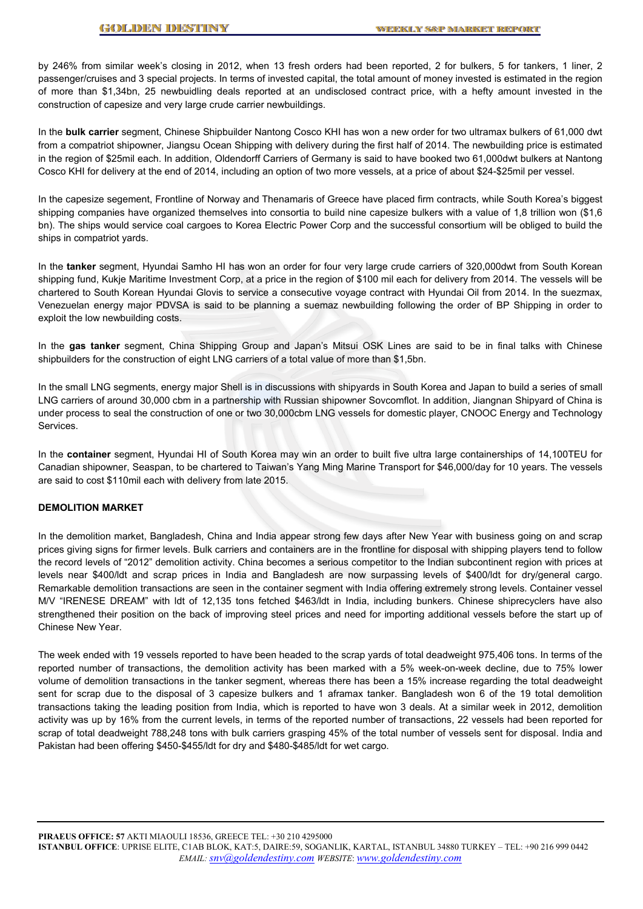by 246% from similar week's closing in 2012, when 13 fresh orders had been reported, 2 for bulkers, 5 for tankers, 1 liner, 2 passenger/cruises and 3 special projects. In terms of invested capital, the total amount of money invested is estimated in the region of more than \$1,34bn, 25 newbuidling deals reported at an undisclosed contract price, with a hefty amount invested in the construction of capesize and very large crude carrier newbuildings.

In the **bulk carrier** segment, Chinese Shipbuilder Nantong Cosco KHI has won a new order for two ultramax bulkers of 61,000 dwt from a compatriot shipowner, Jiangsu Ocean Shipping with delivery during the first half of 2014. The newbuilding price is estimated in the region of \$25mil each. In addition, Oldendorff Carriers of Germany is said to have booked two 61,000dwt bulkers at Nantong Cosco KHI for delivery at the end of 2014, including an option of two more vessels, at a price of about \$24-\$25mil per vessel.

In the capesize segement, Frontline of Norway and Thenamaris of Greece have placed firm contracts, while South Korea's biggest shipping companies have organized themselves into consortia to build nine capesize bulkers with a value of 1,8 trillion won (\$1,6 bn). The ships would service coal cargoes to Korea Electric Power Corp and the successful consortium will be obliged to build the ships in compatriot yards.

In the **tanker** segment, Hyundai Samho HI has won an order for four very large crude carriers of 320,000dwt from South Korean shipping fund, Kukje Maritime Investment Corp, at a price in the region of \$100 mil each for delivery from 2014. The vessels will be chartered to South Korean Hyundai Glovis to service a consecutive voyage contract with Hyundai Oil from 2014. In the suezmax, Venezuelan energy major PDVSA is said to be planning a suemaz newbuilding following the order of BP Shipping in order to exploit the low newbuilding costs.

In the **gas tanker** segment, China Shipping Group and Japan's Mitsui OSK Lines are said to be in final talks with Chinese shipbuilders for the construction of eight LNG carriers of a total value of more than \$1,5bn.

In the small LNG segments, energy major Shell is in discussions with shipyards in South Korea and Japan to build a series of small LNG carriers of around 30,000 cbm in a partnership with Russian shipowner Sovcomflot. In addition, Jiangnan Shipyard of China is under process to seal the construction of one or two 30,000cbm LNG vessels for domestic player, CNOOC Energy and Technology Services.

In the **container** segment, Hyundai HI of South Korea may win an order to built five ultra large containerships of 14,100TEU for Canadian shipowner, Seaspan, to be chartered to Taiwan's Yang Ming Marine Transport for \$46,000/day for 10 years. The vessels are said to cost \$110mil each with delivery from late 2015.

#### **DEMOLITION MARKET**

In the demolition market, Bangladesh, China and India appear strong few days after New Year with business going on and scrap prices giving signs for firmer levels. Bulk carriers and containers are in the frontline for disposal with shipping players tend to follow the record levels of "2012" demolition activity. China becomes a serious competitor to the Indian subcontinent region with prices at levels near \$400/ldt and scrap prices in India and Bangladesh are now surpassing levels of \$400/ldt for dry/general cargo. Remarkable demolition transactions are seen in the container segment with India offering extremely strong levels. Container vessel M/V "IRENESE DREAM" with ldt of 12,135 tons fetched \$463/ldt in India, including bunkers. Chinese shiprecyclers have also strengthened their position on the back of improving steel prices and need for importing additional vessels before the start up of Chinese New Year.

The week ended with 19 vessels reported to have been headed to the scrap yards of total deadweight 975,406 tons. In terms of the reported number of transactions, the demolition activity has been marked with a 5% week-on-week decline, due to 75% lower volume of demolition transactions in the tanker segment, whereas there has been a 15% increase regarding the total deadweight sent for scrap due to the disposal of 3 capesize bulkers and 1 aframax tanker. Bangladesh won 6 of the 19 total demolition transactions taking the leading position from India, which is reported to have won 3 deals. At a similar week in 2012, demolition activity was up by 16% from the current levels, in terms of the reported number of transactions, 22 vessels had been reported for scrap of total deadweight 788,248 tons with bulk carriers grasping 45% of the total number of vessels sent for disposal. India and Pakistan had been offering \$450-\$455/ldt for dry and \$480-\$485/ldt for wet cargo.